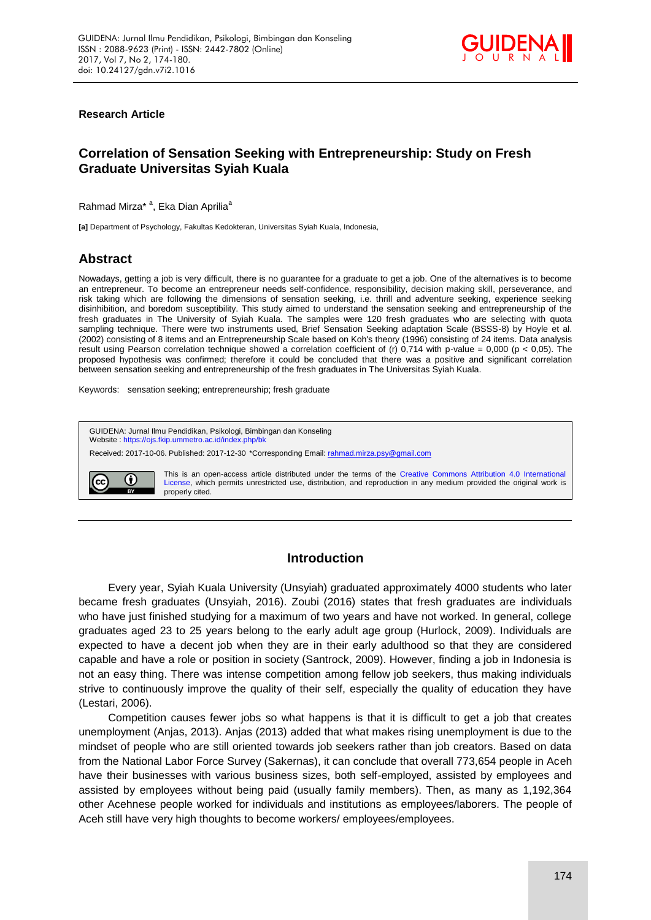

### **Research Article**

# **Correlation of Sensation Seeking with Entrepreneurship: Study on Fresh Graduate Universitas Syiah Kuala**

Rahmad Mirza<sup>\* a</sup>, Eka Dian Aprilia<sup>a</sup>

**[a]** Department of Psychology, Fakultas Kedokteran, Universitas Syiah Kuala, Indonesia,

# **Abstract**

Nowadays, getting a job is very difficult, there is no guarantee for a graduate to get a job. One of the alternatives is to become an entrepreneur. To become an entrepreneur needs self-confidence, responsibility, decision making skill, perseverance, and risk taking which are following the dimensions of sensation seeking, i.e. thrill and adventure seeking, experience seeking disinhibition, and boredom susceptibility. This study aimed to understand the sensation seeking and entrepreneurship of the fresh graduates in The University of Syiah Kuala. The samples were 120 fresh graduates who are selecting with quota sampling technique. There were two instruments used, Brief Sensation Seeking adaptation Scale (BSSS-8) by Hoyle et al. (2002) consisting of 8 items and an Entrepreneurship Scale based on Koh's theory (1996) consisting of 24 items. Data analysis result using Pearson correlation technique showed a correlation coefficient of (r)  $0,714$  with p-value = 0,000 (p < 0,05). The proposed hypothesis was confirmed; therefore it could be concluded that there was a positive and significant correlation between sensation seeking and entrepreneurship of the fresh graduates in The Universitas Syiah Kuala.

Keywords: sensation seeking; entrepreneurship; fresh graduate



# **Introduction**

Every year, Syiah Kuala University (Unsyiah) graduated approximately 4000 students who later became fresh graduates (Unsyiah, 2016). Zoubi (2016) states that fresh graduates are individuals who have just finished studying for a maximum of two years and have not worked. In general, college graduates aged 23 to 25 years belong to the early adult age group (Hurlock, 2009). Individuals are expected to have a decent job when they are in their early adulthood so that they are considered capable and have a role or position in society (Santrock, 2009). However, finding a job in Indonesia is not an easy thing. There was intense competition among fellow job seekers, thus making individuals strive to continuously improve the quality of their self, especially the quality of education they have (Lestari, 2006).

Competition causes fewer jobs so what happens is that it is difficult to get a job that creates unemployment (Anjas, 2013). Anjas (2013) added that what makes rising unemployment is due to the mindset of people who are still oriented towards job seekers rather than job creators. Based on data from the National Labor Force Survey (Sakernas), it can conclude that overall 773,654 people in Aceh have their businesses with various business sizes, both self-employed, assisted by employees and assisted by employees without being paid (usually family members). Then, as many as 1,192,364 other Acehnese people worked for individuals and institutions as employees/laborers. The people of Aceh still have very high thoughts to become workers/ employees/employees.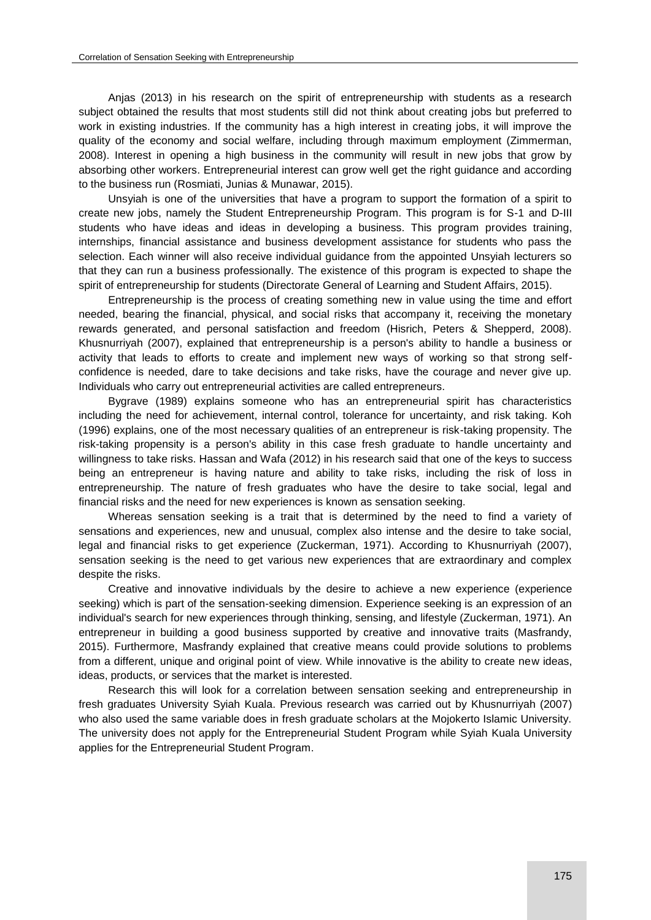Anjas (2013) in his research on the spirit of entrepreneurship with students as a research subject obtained the results that most students still did not think about creating jobs but preferred to work in existing industries. If the community has a high interest in creating jobs, it will improve the quality of the economy and social welfare, including through maximum employment (Zimmerman, 2008). Interest in opening a high business in the community will result in new jobs that grow by absorbing other workers. Entrepreneurial interest can grow well get the right guidance and according to the business run (Rosmiati, Junias & Munawar, 2015).

Unsyiah is one of the universities that have a program to support the formation of a spirit to create new jobs, namely the Student Entrepreneurship Program. This program is for S-1 and D-III students who have ideas and ideas in developing a business. This program provides training, internships, financial assistance and business development assistance for students who pass the selection. Each winner will also receive individual guidance from the appointed Unsyiah lecturers so that they can run a business professionally. The existence of this program is expected to shape the spirit of entrepreneurship for students (Directorate General of Learning and Student Affairs, 2015).

Entrepreneurship is the process of creating something new in value using the time and effort needed, bearing the financial, physical, and social risks that accompany it, receiving the monetary rewards generated, and personal satisfaction and freedom (Hisrich, Peters & Shepperd, 2008). Khusnurriyah (2007), explained that entrepreneurship is a person's ability to handle a business or activity that leads to efforts to create and implement new ways of working so that strong selfconfidence is needed, dare to take decisions and take risks, have the courage and never give up. Individuals who carry out entrepreneurial activities are called entrepreneurs.

Bygrave (1989) explains someone who has an entrepreneurial spirit has characteristics including the need for achievement, internal control, tolerance for uncertainty, and risk taking. Koh (1996) explains, one of the most necessary qualities of an entrepreneur is risk-taking propensity. The risk-taking propensity is a person's ability in this case fresh graduate to handle uncertainty and willingness to take risks. Hassan and Wafa (2012) in his research said that one of the keys to success being an entrepreneur is having nature and ability to take risks, including the risk of loss in entrepreneurship. The nature of fresh graduates who have the desire to take social, legal and financial risks and the need for new experiences is known as sensation seeking.

Whereas sensation seeking is a trait that is determined by the need to find a variety of sensations and experiences, new and unusual, complex also intense and the desire to take social, legal and financial risks to get experience (Zuckerman, 1971). According to Khusnurriyah (2007), sensation seeking is the need to get various new experiences that are extraordinary and complex despite the risks.

Creative and innovative individuals by the desire to achieve a new experience (experience seeking) which is part of the sensation-seeking dimension. Experience seeking is an expression of an individual's search for new experiences through thinking, sensing, and lifestyle (Zuckerman, 1971). An entrepreneur in building a good business supported by creative and innovative traits (Masfrandy, 2015). Furthermore, Masfrandy explained that creative means could provide solutions to problems from a different, unique and original point of view. While innovative is the ability to create new ideas, ideas, products, or services that the market is interested.

Research this will look for a correlation between sensation seeking and entrepreneurship in fresh graduates University Syiah Kuala. Previous research was carried out by Khusnurriyah (2007) who also used the same variable does in fresh graduate scholars at the Mojokerto Islamic University. The university does not apply for the Entrepreneurial Student Program while Syiah Kuala University applies for the Entrepreneurial Student Program.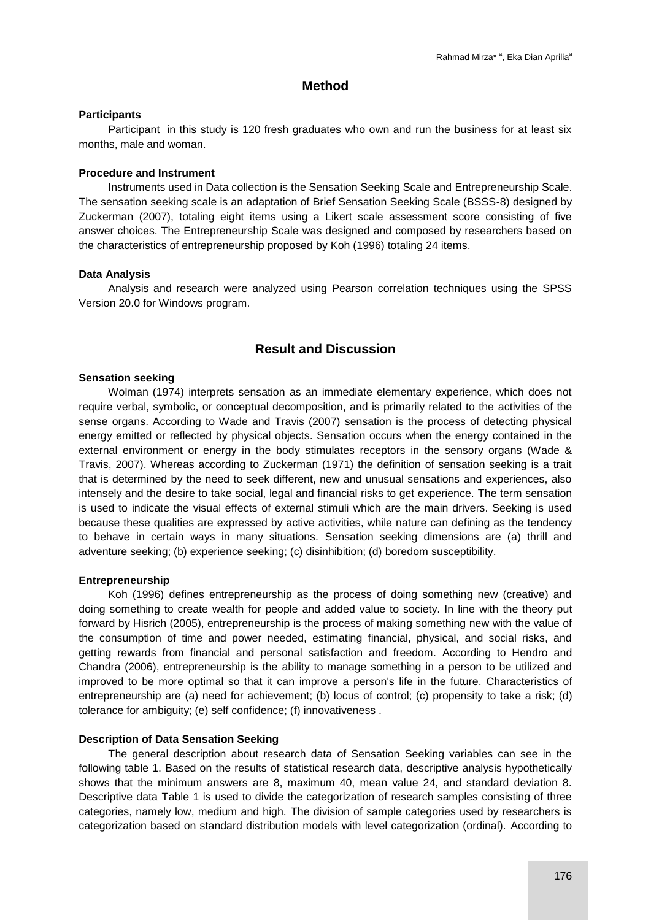## **Method**

#### **Participants**

Participant in this study is 120 fresh graduates who own and run the business for at least six months, male and woman.

## **Procedure and Instrument**

Instruments used in Data collection is the Sensation Seeking Scale and Entrepreneurship Scale. The sensation seeking scale is an adaptation of Brief Sensation Seeking Scale (BSSS-8) designed by Zuckerman (2007), totaling eight items using a Likert scale assessment score consisting of five answer choices. The Entrepreneurship Scale was designed and composed by researchers based on the characteristics of entrepreneurship proposed by Koh (1996) totaling 24 items.

#### **Data Analysis**

Analysis and research were analyzed using Pearson correlation techniques using the SPSS Version 20.0 for Windows program.

# **Result and Discussion**

### **Sensation seeking**

Wolman (1974) interprets sensation as an immediate elementary experience, which does not require verbal, symbolic, or conceptual decomposition, and is primarily related to the activities of the sense organs. According to Wade and Travis (2007) sensation is the process of detecting physical energy emitted or reflected by physical objects. Sensation occurs when the energy contained in the external environment or energy in the body stimulates receptors in the sensory organs (Wade & Travis, 2007). Whereas according to Zuckerman (1971) the definition of sensation seeking is a trait that is determined by the need to seek different, new and unusual sensations and experiences, also intensely and the desire to take social, legal and financial risks to get experience. The term sensation is used to indicate the visual effects of external stimuli which are the main drivers. Seeking is used because these qualities are expressed by active activities, while nature can defining as the tendency to behave in certain ways in many situations. Sensation seeking dimensions are (a) thrill and adventure seeking; (b) experience seeking; (c) disinhibition; (d) boredom susceptibility.

### **Entrepreneurship**

Koh (1996) defines entrepreneurship as the process of doing something new (creative) and doing something to create wealth for people and added value to society. In line with the theory put forward by Hisrich (2005), entrepreneurship is the process of making something new with the value of the consumption of time and power needed, estimating financial, physical, and social risks, and getting rewards from financial and personal satisfaction and freedom. According to Hendro and Chandra (2006), entrepreneurship is the ability to manage something in a person to be utilized and improved to be more optimal so that it can improve a person's life in the future. Characteristics of entrepreneurship are (a) need for achievement; (b) locus of control; (c) propensity to take a risk; (d) tolerance for ambiguity; (e) self confidence; (f) innovativeness .

### **Description of Data Sensation Seeking**

The general description about research data of Sensation Seeking variables can see in the following table 1. Based on the results of statistical research data, descriptive analysis hypothetically shows that the minimum answers are 8, maximum 40, mean value 24, and standard deviation 8. Descriptive data Table 1 is used to divide the categorization of research samples consisting of three categories, namely low, medium and high. The division of sample categories used by researchers is categorization based on standard distribution models with level categorization (ordinal). According to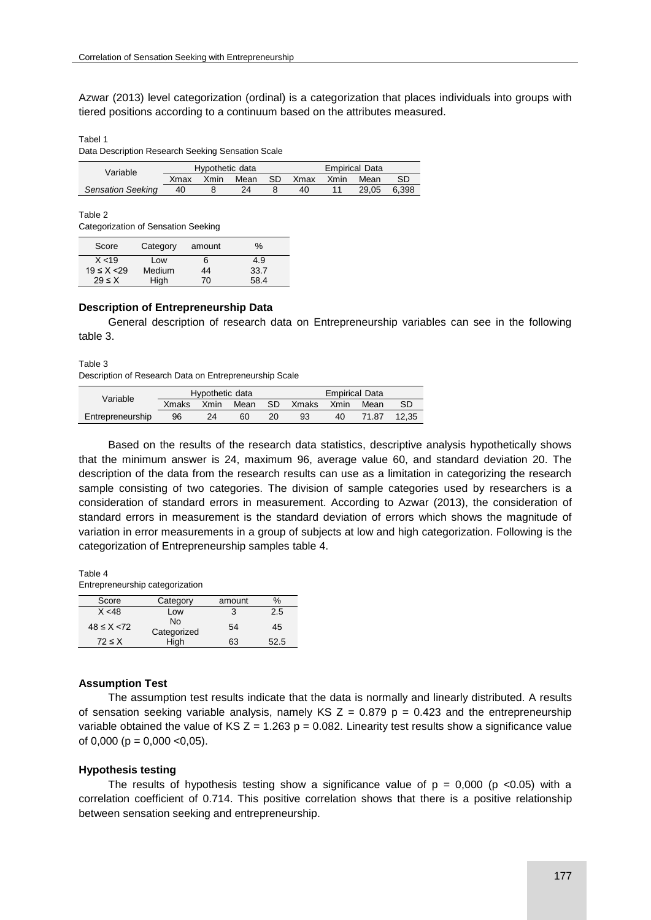Azwar (2013) level categorization (ordinal) is a categorization that places individuals into groups with tiered positions according to a continuum based on the attributes measured.

Tabel 1

Data Description Research Seeking Sensation Scale

| Variable                 | Hypothetic data |      |      | <b>Empirical Data</b> |           |  |       |       |
|--------------------------|-----------------|------|------|-----------------------|-----------|--|-------|-------|
|                          | Xmax            | Xmin | Mean | SD.                   | Xmax Xmin |  | Mean  | SD    |
| <b>Sensation Seeking</b> | 40              |      | 24   |                       | 40        |  | 29.05 | 6.398 |

Table 2

Categorization of Sensation Seeking

| Score             | Category | amount | $\%$ |
|-------------------|----------|--------|------|
| X < 19            | Low      | 6      | 4.9  |
| $19 \le X \le 29$ | Medium   | 44     | 33.7 |
| $29 \leq X$       | High     | 70     | 58.4 |

#### **Description of Entrepreneurship Data**

General description of research data on Entrepreneurship variables can see in the following table 3.

Table 3

Description of Research Data on Entrepreneurship Scale

| Variable         | Hypothetic data |      |      |      | <b>Empirical Data</b> |      |       |       |
|------------------|-----------------|------|------|------|-----------------------|------|-------|-------|
|                  | <b>Xmaks</b>    | Xmin | Mean | - SD | Xmaks                 | Xmin | Mean  |       |
| Entrepreneurship | 96              | 24   | 60   | 20   | 93                    | 40   | 71.87 | 12.35 |

Based on the results of the research data statistics, descriptive analysis hypothetically shows that the minimum answer is 24, maximum 96, average value 60, and standard deviation 20. The description of the data from the research results can use as a limitation in categorizing the research sample consisting of two categories. The division of sample categories used by researchers is a consideration of standard errors in measurement. According to Azwar (2013), the consideration of standard errors in measurement is the standard deviation of errors which shows the magnitude of variation in error measurements in a group of subjects at low and high categorization. Following is the categorization of Entrepreneurship samples table 4.

Table 4 Entrepreneurship categorization

| Score             | Category          | amount | $\%$ |
|-------------------|-------------------|--------|------|
| X < 48            | Low               |        | 2.5  |
| $48 \le X \le 72$ | N٥<br>Categorized | 54     | 45   |
| $72 \leq X$       | High              | 63     | 52.5 |

#### **Assumption Test**

The assumption test results indicate that the data is normally and linearly distributed. A results of sensation seeking variable analysis, namely KS  $Z = 0.879$  p = 0.423 and the entrepreneurship variable obtained the value of KS  $Z = 1.263$  p = 0.082. Linearity test results show a significance value of 0,000 ( $p = 0,000$  <0,05).

### **Hypothesis testing**

The results of hypothesis testing show a significance value of  $p = 0.000$  (p <0.05) with a correlation coefficient of 0.714. This positive correlation shows that there is a positive relationship between sensation seeking and entrepreneurship.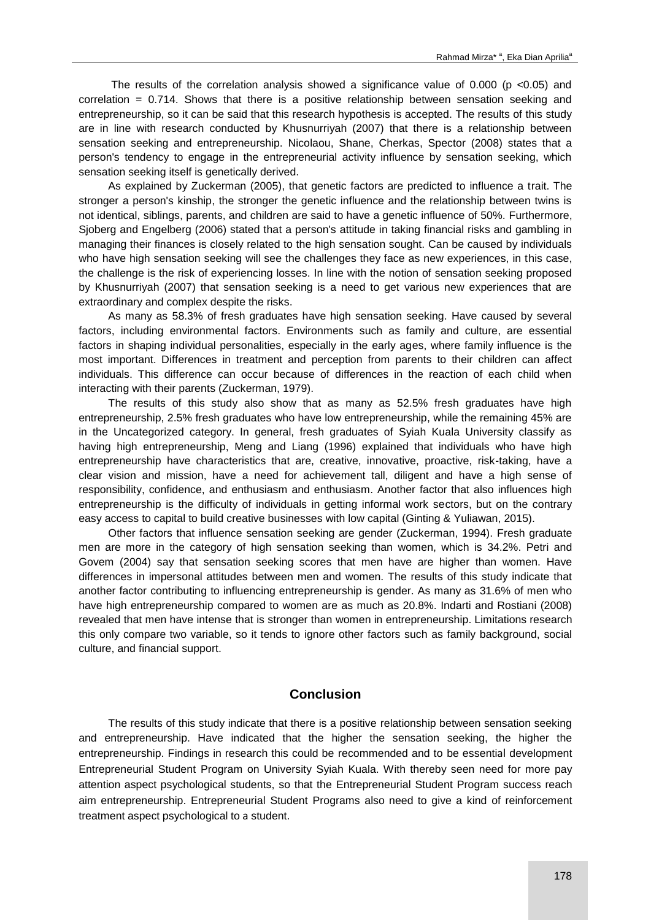The results of the correlation analysis showed a significance value of  $0.000$  (p <0.05) and correlation = 0.714. Shows that there is a positive relationship between sensation seeking and entrepreneurship, so it can be said that this research hypothesis is accepted. The results of this study are in line with research conducted by Khusnurriyah (2007) that there is a relationship between sensation seeking and entrepreneurship. Nicolaou, Shane, Cherkas, Spector (2008) states that a person's tendency to engage in the entrepreneurial activity influence by sensation seeking, which sensation seeking itself is genetically derived.

As explained by Zuckerman (2005), that genetic factors are predicted to influence a trait. The stronger a person's kinship, the stronger the genetic influence and the relationship between twins is not identical, siblings, parents, and children are said to have a genetic influence of 50%. Furthermore, Sjoberg and Engelberg (2006) stated that a person's attitude in taking financial risks and gambling in managing their finances is closely related to the high sensation sought. Can be caused by individuals who have high sensation seeking will see the challenges they face as new experiences, in this case, the challenge is the risk of experiencing losses. In line with the notion of sensation seeking proposed by Khusnurriyah (2007) that sensation seeking is a need to get various new experiences that are extraordinary and complex despite the risks.

As many as 58.3% of fresh graduates have high sensation seeking. Have caused by several factors, including environmental factors. Environments such as family and culture, are essential factors in shaping individual personalities, especially in the early ages, where family influence is the most important. Differences in treatment and perception from parents to their children can affect individuals. This difference can occur because of differences in the reaction of each child when interacting with their parents (Zuckerman, 1979).

The results of this study also show that as many as 52.5% fresh graduates have high entrepreneurship, 2.5% fresh graduates who have low entrepreneurship, while the remaining 45% are in the Uncategorized category. In general, fresh graduates of Syiah Kuala University classify as having high entrepreneurship, Meng and Liang (1996) explained that individuals who have high entrepreneurship have characteristics that are, creative, innovative, proactive, risk-taking, have a clear vision and mission, have a need for achievement tall, diligent and have a high sense of responsibility, confidence, and enthusiasm and enthusiasm. Another factor that also influences high entrepreneurship is the difficulty of individuals in getting informal work sectors, but on the contrary easy access to capital to build creative businesses with low capital (Ginting & Yuliawan, 2015).

Other factors that influence sensation seeking are gender (Zuckerman, 1994). Fresh graduate men are more in the category of high sensation seeking than women, which is 34.2%. Petri and Govem (2004) say that sensation seeking scores that men have are higher than women. Have differences in impersonal attitudes between men and women. The results of this study indicate that another factor contributing to influencing entrepreneurship is gender. As many as 31.6% of men who have high entrepreneurship compared to women are as much as 20.8%. Indarti and Rostiani (2008) revealed that men have intense that is stronger than women in entrepreneurship. Limitations research this only compare two variable, so it tends to ignore other factors such as family background, social culture, and financial support.

# **Conclusion**

The results of this study indicate that there is a positive relationship between sensation seeking and entrepreneurship. Have indicated that the higher the sensation seeking, the higher the entrepreneurship. Findings in research this could be recommended and to be essential development Entrepreneurial Student Program on University Syiah Kuala. With thereby seen need for more pay attention aspect psychological students, so that the Entrepreneurial Student Program success reach aim entrepreneurship. Entrepreneurial Student Programs also need to give a kind of reinforcement treatment aspect psychological to a student.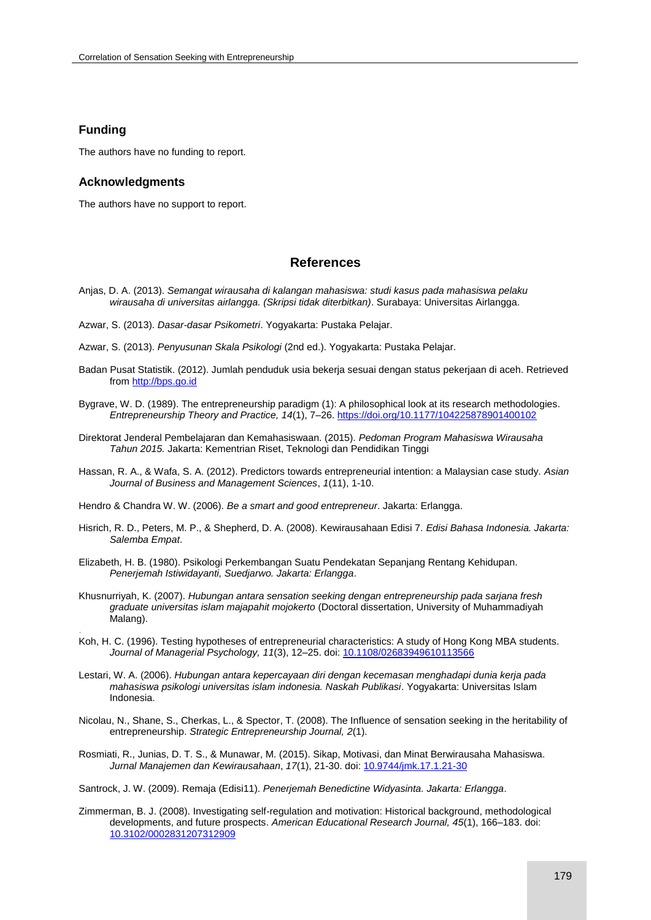## **Funding**

.

The authors have no funding to report.

#### **Acknowledgments**

The authors have no support to report.

# **References**

- Anjas, D. A. (2013). *Semangat wirausaha di kalangan mahasiswa: studi kasus pada mahasiswa pelaku wirausaha di universitas airlangga. (Skripsi tidak diterbitkan)*. Surabaya: Universitas Airlangga.
- Azwar, S. (2013). *Dasar-dasar Psikometri*. Yogyakarta: Pustaka Pelajar.
- Azwar, S. (2013). *Penyusunan Skala Psikologi* (2nd ed.). Yogyakarta: Pustaka Pelajar.
- Badan Pusat Statistik. (2012). Jumlah penduduk usia bekerja sesuai dengan status pekerjaan di aceh. Retrieved from [http://bps.go.id](http://bps.go.id/)
- Bygrave, W. D. (1989). The entrepreneurship paradigm (1): A philosophical look at its research methodologies. *Entrepreneurship Theory and Practice, 14*(1), 7–26[. https://doi.org/10.1177/104225878901400102](https://doi.org/10.1177/104225878901400102)
- Direktorat Jenderal Pembelajaran dan Kemahasiswaan. (2015). *Pedoman Program Mahasiswa Wirausaha Tahun 2015.* Jakarta: Kementrian Riset, Teknologi dan Pendidikan Tinggi
- Hassan, R. A., & Wafa, S. A. (2012). Predictors towards entrepreneurial intention: a Malaysian case study. *Asian Journal of Business and Management Sciences*, *1*(11), 1-10.

Hendro & Chandra W. W. (2006). *Be a smart and good entrepreneur*. Jakarta: Erlangga.

- Hisrich, R. D., Peters, M. P., & Shepherd, D. A. (2008). Kewirausahaan Edisi 7. *Edisi Bahasa Indonesia. Jakarta: Salemba Empat*.
- Elizabeth, H. B. (1980). Psikologi Perkembangan Suatu Pendekatan Sepanjang Rentang Kehidupan. *Penerjemah Istiwidayanti, Suedjarwo. Jakarta: Erlangga*.
- Khusnurriyah, K. (2007). *Hubungan antara sensation seeking dengan entrepreneurship pada sarjana fresh graduate universitas islam majapahit mojokerto* (Doctoral dissertation, University of Muhammadiyah Malang).
- Koh, H. C. (1996). Testing hypotheses of entrepreneurial characteristics: A study of Hong Kong MBA students. *Journal of Managerial Psychology, 11*(3), 12–25. doi[: 10.1108/02683949610113566](https://doi.org/10.1108/02683949610113566)
- Lestari, W. A. (2006). *Hubungan antara kepercayaan diri dengan kecemasan menghadapi dunia kerja pada mahasiswa psikologi universitas islam indonesia. Naskah Publikasi*. Yogyakarta: Universitas Islam Indonesia.
- Nicolau, N., Shane, S., Cherkas, L., & Spector, T. (2008). The Influence of sensation seeking in the heritability of entrepreneurship. *Strategic Entrepreneurship Journal, 2*(1).
- Rosmiati, R., Junias, D. T. S., & Munawar, M. (2015). Sikap, Motivasi, dan Minat Berwirausaha Mahasiswa. *Jurnal Manajemen dan Kewirausahaan*, *17*(1), 21-30. doi[: 10.9744/jmk.17.1.21-30](https://doi.org/10.9744/jmk.17.1.21-30)

Santrock, J. W. (2009). Remaja (Edisi11). *Penerjemah Benedictine Widyasinta. Jakarta: Erlangga*.

Zimmerman, B. J. (2008). Investigating self-regulation and motivation: Historical background, methodological developments, and future prospects. *American Educational Research Journal, 45*(1), 166–183. doi: [10.3102/0002831207312909](https://doi.org/10.3102/0002831207312909)